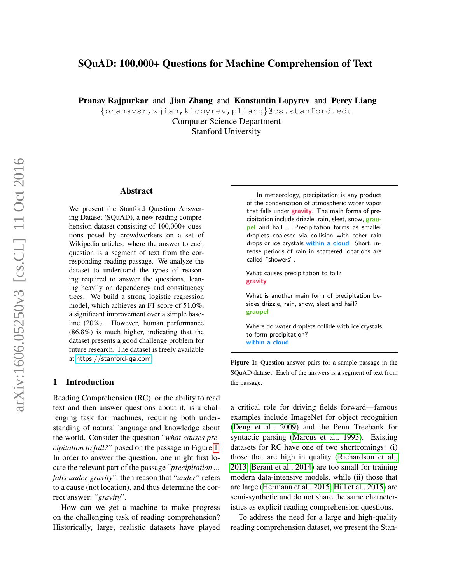# <span id="page-0-1"></span>SQuAD: 100,000+ Questions for Machine Comprehension of Text

Pranav Rajpurkar and Jian Zhang and Konstantin Lopyrev and Percy Liang

{pranavsr,zjian,klopyrev,pliang}@cs.stanford.edu Computer Science Department

Stanford University

#### Abstract

We present the Stanford Question Answering Dataset (SQuAD), a new reading comprehension dataset consisting of 100,000+ questions posed by crowdworkers on a set of Wikipedia articles, where the answer to each question is a segment of text from the corresponding reading passage. We analyze the dataset to understand the types of reasoning required to answer the questions, leaning heavily on dependency and constituency trees. We build a strong logistic regression model, which achieves an F1 score of 51.0%, a significant improvement over a simple baseline (20%). However, human performance (86.8%) is much higher, indicating that the dataset presents a good challenge problem for future research. The dataset is freely available at <https://stanford-qa.com>.

#### 1 Introduction

Reading Comprehension (RC), or the ability to read text and then answer questions about it, is a challenging task for machines, requiring both understanding of natural language and knowledge about the world. Consider the question "*what causes precipitation to fall?*" posed on the passage in Figure [1.](#page-0-0) In order to answer the question, one might first locate the relevant part of the passage "*precipitation ... falls under gravity*", then reason that "*under*" refers to a cause (not location), and thus determine the correct answer: "*gravity*".

How can we get a machine to make progress on the challenging task of reading comprehension? Historically, large, realistic datasets have played

<span id="page-0-0"></span>In meteorology, precipitation is any product of the condensation of atmospheric water vapor that falls under gravity. The main forms of precipitation include drizzle, rain, sleet, snow, graupel and hail... Precipitation forms as smaller droplets coalesce via collision with other rain drops or ice crystals within a cloud. Short, intense periods of rain in scattered locations are called "showers".

What causes precipitation to fall? gravity

What is another main form of precipitation besides drizzle, rain, snow, sleet and hail? graupel

Where do water droplets collide with ice crystals to form precipitation? within a cloud

Figure 1: Question-answer pairs for a sample passage in the SQuAD dataset. Each of the answers is a segment of text from the passage.

a critical role for driving fields forward—famous examples include ImageNet for object recognition (Deng et al., 2009) and the Penn Treebank for syntactic parsing (Marcus et al., 1993). Existing datasets for RC have one of two shortcomings: (i) those that are high in quality (Richardson et al., 2013; Berant et al., 2014) are too small for training modern data-intensive models, while (ii) those that are large (Hermann et al., 2015; Hill et al., 2015) are semi-synthetic and do not share the same characteristics as explicit reading comprehension questions.

To address the need for a large and high-quality reading comprehension dataset, we present the Stan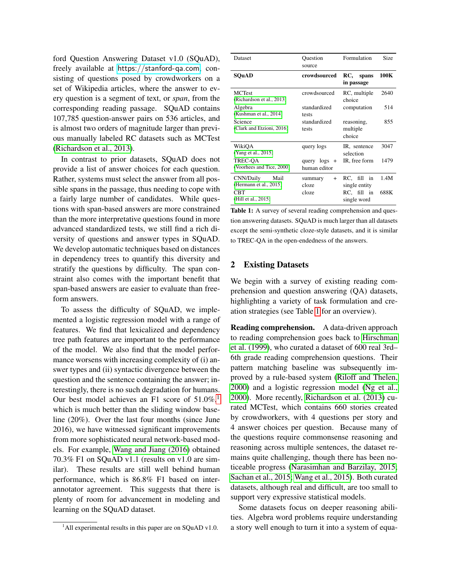ford Question Answering Dataset v1.0 (SQuAD), freely available at <https://stanford-qa.com>, consisting of questions posed by crowdworkers on a set of Wikipedia articles, where the answer to every question is a segment of text, or *span*, from the corresponding reading passage. SQuAD contains 107,785 question-answer pairs on 536 articles, and is almost two orders of magnitude larger than previous manually labeled RC datasets such as MCTest [\(Richardson et al., 2013\)](#page-0-1).

In contrast to prior datasets, SQuAD does not provide a list of answer choices for each question. Rather, systems must select the answer from all possible spans in the passage, thus needing to cope with a fairly large number of candidates. While questions with span-based answers are more constrained than the more interpretative questions found in more advanced standardized tests, we still find a rich diversity of questions and answer types in SQuAD. We develop automatic techniques based on distances in dependency trees to quantify this diversity and stratify the questions by difficulty. The span constraint also comes with the important benefit that span-based answers are easier to evaluate than freeform answers.

To assess the difficulty of SQuAD, we implemented a logistic regression model with a range of features. We find that lexicalized and dependency tree path features are important to the performance of the model. We also find that the model performance worsens with increasing complexity of (i) answer types and (ii) syntactic divergence between the question and the sentence containing the answer; interestingly, there is no such degradation for humans. Our best model achieves an F[1](#page-1-0) score of  $51.0\%$ ,<sup>1</sup> which is much better than the sliding window baseline (20%). Over the last four months (since June 2016), we have witnessed significant improvements from more sophisticated neural network-based models. For example, [Wang and Jiang \(2016\)](#page-0-1) obtained 70.3% F1 on SQuAD v1.1 (results on v1.0 are similar). These results are still well behind human performance, which is 86.8% F1 based on interannotator agreement. This suggests that there is plenty of room for advancement in modeling and learning on the SQuAD dataset.

<span id="page-1-1"></span>

| Dataset                                     | Ouestion<br>source           | Formulation                      | Size |
|---------------------------------------------|------------------------------|----------------------------------|------|
| SQuAD                                       | crowdsourced                 | RC,<br>spans<br>in passage       | 100K |
| <b>MCTest</b><br>(Richardson et al., 2013)  | crowdsourced                 | RC, multiple<br>choice           | 2640 |
| Algebra<br>(Kushman et al., 2014)           | standardized<br>tests        | computation                      | 514  |
| Science<br>(Clark and Etzioni, 2016)        | standardized<br>tests        | reasoning,<br>multiple<br>choice | 855  |
| WikiOA<br>(Yang et al., 2015)               | query logs                   | IR, sentence<br>selection        | 3047 |
| TREC-OA<br>(Voorhees and Tice, 2000)        | query logs +<br>human editor | IR, free form                    | 1479 |
| CNN/Daily<br>Mail<br>(Hermann et al., 2015) | summary<br>$+$<br>cloze      | RC, fill in<br>single entity     | 1.4M |
| CBT<br>(Hill et al., 2015)                  | cloze                        | RC, fill in<br>single word       | 688K |

Table 1: A survey of several reading comprehension and question answering datasets. SQuAD is much larger than all datasets except the semi-synthetic cloze-style datasets, and it is similar to TREC-QA in the open-endedness of the answers.

#### 2 Existing Datasets

We begin with a survey of existing reading comprehension and question answering (QA) datasets, highlighting a variety of task formulation and creation strategies (see Table [1](#page-1-1) for an overview).

Reading comprehension. A data-driven approach to reading comprehension goes back to [Hirschman](#page-0-1) [et al. \(1999\)](#page-0-1), who curated a dataset of 600 real 3rd– 6th grade reading comprehension questions. Their pattern matching baseline was subsequently improved by a rule-based system [\(Riloff and Thelen,](#page-0-1) [2000\)](#page-0-1) and a logistic regression model [\(Ng et al.,](#page-0-1) [2000\)](#page-0-1). More recently, [Richardson et al. \(2013\)](#page-0-1) curated MCTest, which contains 660 stories created by crowdworkers, with 4 questions per story and 4 answer choices per question. Because many of the questions require commonsense reasoning and reasoning across multiple sentences, the dataset remains quite challenging, though there has been noticeable progress [\(Narasimhan and Barzilay, 2015;](#page-0-1) [Sachan et al., 2015; Wang et al., 2015\)](#page-0-1). Both curated datasets, although real and difficult, are too small to support very expressive statistical models.

Some datasets focus on deeper reasoning abilities. Algebra word problems require understanding a story well enough to turn it into a system of equa-

<span id="page-1-0"></span> $1$ All experimental results in this paper are on SQuAD v1.0.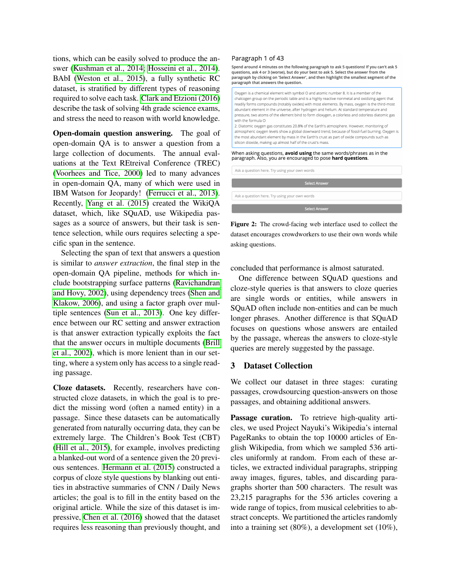tions, which can be easily solved to produce the answer [\(Kushman et al., 2014; Hosseini et al., 2014\)](#page-0-1). BAbI [\(Weston et al., 2015\)](#page-0-1), a fully synthetic RC dataset, is stratified by different types of reasoning required to solve each task. [Clark and Etzioni \(2016\)](#page-0-1) describe the task of solving 4th grade science exams, and stress the need to reason with world knowledge.

Open-domain question answering. The goal of open-domain QA is to answer a question from a large collection of documents. The annual evaluations at the Text REtreival Conference (TREC) [\(Voorhees and Tice, 2000\)](#page-0-1) led to many advances in open-domain QA, many of which were used in IBM Watson for Jeopardy! [\(Ferrucci et al., 2013\)](#page-0-1). Recently, [Yang et al. \(2015\)](#page-0-1) created the WikiQA dataset, which, like SQuAD, use Wikipedia passages as a source of answers, but their task is sentence selection, while ours requires selecting a specific span in the sentence.

Selecting the span of text that answers a question is similar to *answer extraction*, the final step in the open-domain QA pipeline, methods for which include bootstrapping surface patterns [\(Ravichandran](#page-0-1) [and Hovy, 2002\)](#page-0-1), using dependency trees [\(Shen and](#page-0-1) [Klakow, 2006\)](#page-0-1), and using a factor graph over multiple sentences [\(Sun et al., 2013\)](#page-0-1). One key difference between our RC setting and answer extraction is that answer extraction typically exploits the fact that the answer occurs in multiple documents [\(Brill](#page-0-1) [et al., 2002\)](#page-0-1), which is more lenient than in our setting, where a system only has access to a single reading passage.

Cloze datasets. Recently, researchers have constructed cloze datasets, in which the goal is to predict the missing word (often a named entity) in a passage. Since these datasets can be automatically generated from naturally occurring data, they can be extremely large. The Children's Book Test (CBT) [\(Hill et al., 2015\)](#page-0-1), for example, involves predicting a blanked-out word of a sentence given the 20 previous sentences. [Hermann et al. \(2015\)](#page-0-1) constructed a corpus of cloze style questions by blanking out entities in abstractive summaries of CNN / Daily News articles; the goal is to fill in the entity based on the original article. While the size of this dataset is impressive, [Chen et al. \(2016\)](#page-0-1) showed that the dataset requires less reasoning than previously thought, and

#### Paragraph 1 of 43

Spend around 4 minutes on the following paragraph to ask 5 questions! If you can't ask 5 questions, ask 4 or 3 (worse), but do your best to ask 5. Select the answer from the paragraph by clicking on 'Select Answer', and then highlight the smallest segment of the paragraph that answers the question.

Oxygen is a chemical element with symbol O and atomic number 8. It is a member of the chalcogen group on the periodic table and is a highly reactive nonmetal and oxidizing agent that readily forms compounds (notably oxides) with most elements. By mass, oxygen is the third-most abundant element in the universe, after hydrogen and helium. At standard temperature and pressure, two atoms of the element bind to form dioxygen, a colorless and odorless diatomic gas with the formula O 2. Diatomic oxygen gas constitutes 20.8% of the Earth's atmosphere. However, monitoring of

atmospheric oxygen levels show a global downward trend, because of fossil-fuel burning. Oxygen is the most abundant element by mass in the Earth's crust as part of oxide compounds such as silicon dioxide, making up almost half of the crust's mass

# When asking questions, **avoid using** the same words/phrases as in the<br>paragraph. Also, you are encouraged to pose **hard questions**.

Ask a question here. Try using your own word:

Ask a question here. Try using your own word:

Select Ar

Figure 2: The crowd-facing web interface used to collect the dataset encourages crowdworkers to use their own words while asking questions.

concluded that performance is almost saturated.

One difference between SQuAD questions and cloze-style queries is that answers to cloze queries are single words or entities, while answers in SQuAD often include non-entities and can be much longer phrases. Another difference is that SQuAD focuses on questions whose answers are entailed by the passage, whereas the answers to cloze-style queries are merely suggested by the passage.

## 3 Dataset Collection

We collect our dataset in three stages: curating passages, crowdsourcing question-answers on those passages, and obtaining additional answers.

Passage curation. To retrieve high-quality articles, we used Project Nayuki's Wikipedia's internal PageRanks to obtain the top 10000 articles of English Wikipedia, from which we sampled 536 articles uniformly at random. From each of these articles, we extracted individual paragraphs, stripping away images, figures, tables, and discarding paragraphs shorter than 500 characters. The result was 23,215 paragraphs for the 536 articles covering a wide range of topics, from musical celebrities to abstract concepts. We partitioned the articles randomly into a training set (80%), a development set (10%),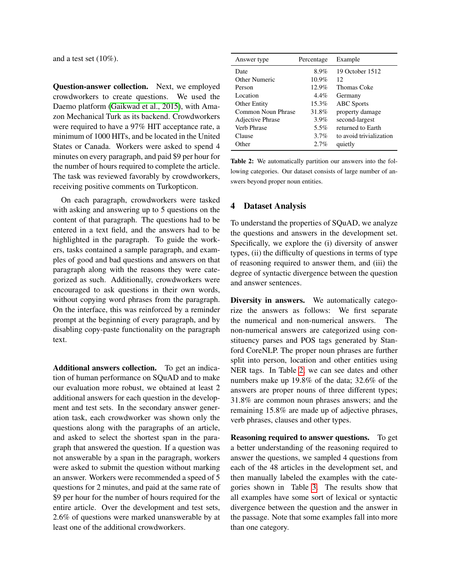and a test set (10%).

Question-answer collection. Next, we employed crowdworkers to create questions. We used the Daemo platform [\(Gaikwad et al., 2015\)](#page-0-1), with Amazon Mechanical Turk as its backend. Crowdworkers were required to have a 97% HIT acceptance rate, a minimum of 1000 HITs, and be located in the United States or Canada. Workers were asked to spend 4 minutes on every paragraph, and paid \$9 per hour for the number of hours required to complete the article. The task was reviewed favorably by crowdworkers, receiving positive comments on Turkopticon.

On each paragraph, crowdworkers were tasked with asking and answering up to 5 questions on the content of that paragraph. The questions had to be entered in a text field, and the answers had to be highlighted in the paragraph. To guide the workers, tasks contained a sample paragraph, and examples of good and bad questions and answers on that paragraph along with the reasons they were categorized as such. Additionally, crowdworkers were encouraged to ask questions in their own words, without copying word phrases from the paragraph. On the interface, this was reinforced by a reminder prompt at the beginning of every paragraph, and by disabling copy-paste functionality on the paragraph text.

Additional answers collection. To get an indication of human performance on SQuAD and to make our evaluation more robust, we obtained at least 2 additional answers for each question in the development and test sets. In the secondary answer generation task, each crowdworker was shown only the questions along with the paragraphs of an article, and asked to select the shortest span in the paragraph that answered the question. If a question was not answerable by a span in the paragraph, workers were asked to submit the question without marking an answer. Workers were recommended a speed of 5 questions for 2 minutes, and paid at the same rate of \$9 per hour for the number of hours required for the entire article. Over the development and test sets, 2.6% of questions were marked unanswerable by at least one of the additional crowdworkers.

<span id="page-3-0"></span>

| Answer type        | Percentage | Example                 |
|--------------------|------------|-------------------------|
| Date               | 8.9%       | 19 October 1512         |
| Other Numeric      | $10.9\%$   | 12                      |
| Person             | 12.9%      | Thomas Coke             |
| Location           | $4.4\%$    | Germany                 |
| Other Entity       | 15.3%      | <b>ABC</b> Sports       |
| Common Noun Phrase | 31.8%      | property damage         |
| Adjective Phrase   | $3.9\%$    | second-largest          |
| Verb Phrase        | 5.5%       | returned to Earth       |
| Clause             | 3.7%       | to avoid trivialization |
| Other              | $2.7\%$    | quietly                 |

Table 2: We automatically partition our answers into the following categories. Our dataset consists of large number of answers beyond proper noun entities.

## <span id="page-3-1"></span>4 Dataset Analysis

To understand the properties of SQuAD, we analyze the questions and answers in the development set. Specifically, we explore the (i) diversity of answer types, (ii) the difficulty of questions in terms of type of reasoning required to answer them, and (iii) the degree of syntactic divergence between the question and answer sentences.

Diversity in answers. We automatically categorize the answers as follows: We first separate the numerical and non-numerical answers. The non-numerical answers are categorized using constituency parses and POS tags generated by Stanford CoreNLP. The proper noun phrases are further split into person, location and other entities using NER tags. In Table [2,](#page-3-0) we can see dates and other numbers make up 19.8% of the data; 32.6% of the answers are proper nouns of three different types; 31.8% are common noun phrases answers; and the remaining 15.8% are made up of adjective phrases, verb phrases, clauses and other types.

Reasoning required to answer questions. To get a better understanding of the reasoning required to answer the questions, we sampled 4 questions from each of the 48 articles in the development set, and then manually labeled the examples with the categories shown in Table [3.](#page-4-0) The results show that all examples have some sort of lexical or syntactic divergence between the question and the answer in the passage. Note that some examples fall into more than one category.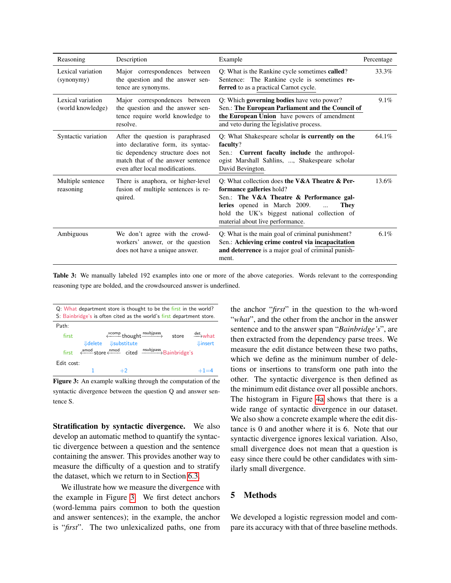<span id="page-4-0"></span>

| Reasoning                              | Description                                                                                                                                                                          | Example                                                                                                                                                                                                                                                            | Percentage |
|----------------------------------------|--------------------------------------------------------------------------------------------------------------------------------------------------------------------------------------|--------------------------------------------------------------------------------------------------------------------------------------------------------------------------------------------------------------------------------------------------------------------|------------|
| Lexical variation<br>(synonymy)        | Major correspondences between<br>the question and the answer sen-<br>tence are synonyms.                                                                                             | Q: What is the Rankine cycle sometimes called?<br>Sentence: The Rankine cycle is sometimes re-<br>ferred to as a practical Carnot cycle.                                                                                                                           | 33.3%      |
| Lexical variation<br>(world knowledge) | Major correspondences between<br>the question and the answer sen-<br>tence require world knowledge to<br>resolve.                                                                    | Q: Which governing bodies have veto power?<br>Sen.: The European Parliament and the Council of<br>the European Union have powers of amendment<br>and veto during the legislative process.                                                                          | 9.1%       |
| Syntactic variation                    | After the question is paraphrased<br>into declarative form, its syntac-<br>tic dependency structure does not<br>match that of the answer sentence<br>even after local modifications. | Q: What Shakespeare scholar is currently on the<br>faculty?<br>Sen.: <b>Current faculty include</b> the anthropol-<br>ogist Marshall Sahlins, , Shakespeare scholar<br>David Bevington.                                                                            | 64.1%      |
| Multiple sentence<br>reasoning         | There is anaphora, or higher-level<br>fusion of multiple sentences is re-<br>quired.                                                                                                 | Q: What collection does the V&A Theatre $\&$ Per-<br>formance galleries hold?<br>Sen.: The V&A Theatre & Performance gal-<br>leries opened in March 2009.<br>They<br>$\ddotsc$<br>hold the UK's biggest national collection of<br>material about live performance. | 13.6%      |
| Ambiguous                              | We don't agree with the crowd-<br>workers' answer, or the question<br>does not have a unique answer.                                                                                 | Q: What is the main goal of criminal punishment?<br>Sen.: Achieving crime control via incapacitation<br>and deterrence is a major goal of criminal punish-<br>ment.                                                                                                | $6.1\%$    |

Table 3: We manually labeled 192 examples into one or more of the above categories. Words relevant to the corresponding reasoning type are bolded, and the crowdsourced answer is underlined.

<span id="page-4-1"></span>

| Q: What department store is thought to be the first in the world?<br>S: Bainbridge's is often cited as the world's first department store. |                                                                                                                                          |                              |  |
|--------------------------------------------------------------------------------------------------------------------------------------------|------------------------------------------------------------------------------------------------------------------------------------------|------------------------------|--|
| Path:                                                                                                                                      |                                                                                                                                          |                              |  |
| first                                                                                                                                      | $\xleftarrow{\text{xcomp}}$ thought $\xrightarrow{\text{nsubipass}}$ store $\xrightarrow{\text{det}}$ what<br><b>↓delete</b> ↓substitute | <b><i><u>Uinsert</u></i></b> |  |
|                                                                                                                                            | first $\xleftarrow{\text{amod}}$ store $\xleftarrow{\text{nmod}}$ cited $\xrightarrow{\text{nsubipass}}$ Bainbridge's                    |                              |  |
| Edit cost:                                                                                                                                 |                                                                                                                                          |                              |  |
|                                                                                                                                            |                                                                                                                                          |                              |  |

Figure 3: An example walking through the computation of the syntactic divergence between the question Q and answer sentence S.

Stratification by syntactic divergence. We also develop an automatic method to quantify the syntactic divergence between a question and the sentence containing the answer. This provides another way to measure the difficulty of a question and to stratify the dataset, which we return to in Section [6.3.](#page-8-0)

We illustrate how we measure the divergence with the example in Figure [3.](#page-4-1) We first detect anchors (word-lemma pairs common to both the question and answer sentences); in the example, the anchor is "*first*". The two unlexicalized paths, one from the anchor "*first*" in the question to the wh-word "*what*", and the other from the anchor in the answer sentence and to the answer span "*Bainbridge's*", are then extracted from the dependency parse trees. We measure the edit distance between these two paths, which we define as the minimum number of deletions or insertions to transform one path into the other. The syntactic divergence is then defined as the minimum edit distance over all possible anchors. The histogram in Figure [4a](#page-5-0) shows that there is a wide range of syntactic divergence in our dataset. We also show a concrete example where the edit distance is 0 and another where it is 6. Note that our syntactic divergence ignores lexical variation. Also, small divergence does not mean that a question is easy since there could be other candidates with similarly small divergence.

## 5 Methods

We developed a logistic regression model and compare its accuracy with that of three baseline methods.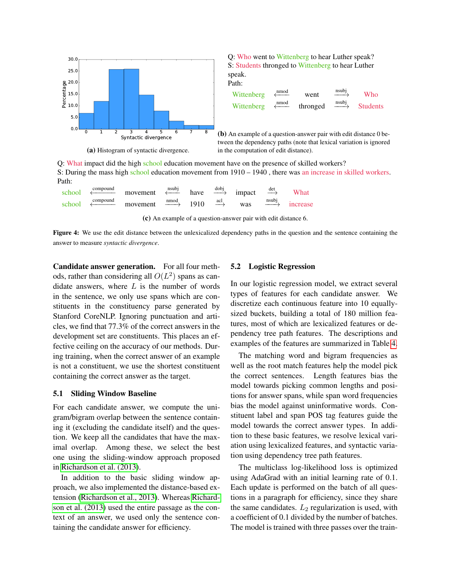<span id="page-5-0"></span>

Q: What impact did the high school education movement have on the presence of skilled workers? S: During the mass high school education movement from 1910 – 1940 , there was an increase in skilled workers. Path:

| school | compound | movement | nsubi                   | have | $\frac{dobj}{d}$              | impact | $\frac{\text{det}}{\text{det}}$ | What                  |
|--------|----------|----------|-------------------------|------|-------------------------------|--------|---------------------------------|-----------------------|
| school | compound | movement | $\frac{\text{mod}}{\ }$ | 1910 | $\frac{\text{acl}}{\text{L}}$ | was    | nsubi                           | <i><u>ncrease</u></i> |

(c) An example of a question-answer pair with edit distance 6.

Figure 4: We use the edit distance between the unlexicalized dependency paths in the question and the sentence containing the answer to measure *syntactic divergence*.

Candidate answer generation. For all four methods, rather than considering all  $O(L^2)$  spans as candidate answers, where  $L$  is the number of words in the sentence, we only use spans which are constituents in the constituency parse generated by Stanford CoreNLP. Ignoring punctuation and articles, we find that 77.3% of the correct answers in the development set are constituents. This places an effective ceiling on the accuracy of our methods. During training, when the correct answer of an example is not a constituent, we use the shortest constituent containing the correct answer as the target.

#### 5.1 Sliding Window Baseline

For each candidate answer, we compute the unigram/bigram overlap between the sentence containing it (excluding the candidate itself) and the question. We keep all the candidates that have the maximal overlap. Among these, we select the best one using the sliding-window approach proposed in [Richardson et al. \(2013\)](#page-0-1).

In addition to the basic sliding window approach, we also implemented the distance-based extension [\(Richardson et al., 2013\)](#page-0-1). Whereas [Richard](#page-0-1)[son et al. \(2013\)](#page-0-1) used the entire passage as the context of an answer, we used only the sentence containing the candidate answer for efficiency.

#### 5.2 Logistic Regression

In our logistic regression model, we extract several types of features for each candidate answer. We discretize each continuous feature into 10 equallysized buckets, building a total of 180 million features, most of which are lexicalized features or dependency tree path features. The descriptions and examples of the features are summarized in Table [4.](#page-6-0)

The matching word and bigram frequencies as well as the root match features help the model pick the correct sentences. Length features bias the model towards picking common lengths and positions for answer spans, while span word frequencies bias the model against uninformative words. Constituent label and span POS tag features guide the model towards the correct answer types. In addition to these basic features, we resolve lexical variation using lexicalized features, and syntactic variation using dependency tree path features.

The multiclass log-likelihood loss is optimized using AdaGrad with an initial learning rate of 0.1. Each update is performed on the batch of all questions in a paragraph for efficiency, since they share the same candidates.  $L_2$  regularization is used, with a coefficient of 0.1 divided by the number of batches. The model is trained with three passes over the train-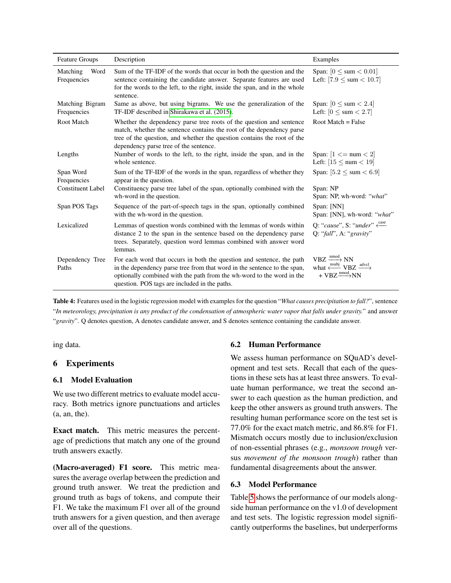<span id="page-6-0"></span>

| <b>Feature Groups</b>           | Description                                                                                                                                                                                                                                                                 | Examples                                                                                                                             |
|---------------------------------|-----------------------------------------------------------------------------------------------------------------------------------------------------------------------------------------------------------------------------------------------------------------------------|--------------------------------------------------------------------------------------------------------------------------------------|
| Matching<br>Word<br>Frequencies | Sum of the TF-IDF of the words that occur in both the question and the<br>sentence containing the candidate answer. Separate features are used<br>for the words to the left, to the right, inside the span, and in the whole<br>sentence.                                   | Span: $[0 \leq \text{sum} < 0.01]$<br>Left: $[7.9 \leq \text{sum} < 10.7]$                                                           |
| Matching Bigram<br>Frequencies  | Same as above, but using bigrams. We use the generalization of the<br>TF-IDF described in Shirakawa et al. (2015).                                                                                                                                                          | Span: $[0 \leq sum < 2.4]$<br>Left: $[0 \leq \text{sum} < 2.7]$                                                                      |
| Root Match                      | Whether the dependency parse tree roots of the question and sentence<br>match, whether the sentence contains the root of the dependency parse<br>tree of the question, and whether the question contains the root of the<br>dependency parse tree of the sentence.          | Root Match $=$ False                                                                                                                 |
| Lengths                         | Number of words to the left, to the right, inside the span, and in the<br>whole sentence.                                                                                                                                                                                   | Span: $[1 \leq m \leq 2]$<br>Left: $[15 \leq num < 19]$                                                                              |
| Span Word<br>Frequencies        | Sum of the TF-IDF of the words in the span, regardless of whether they<br>appear in the question.                                                                                                                                                                           | Span: $[5.2 \leq \text{sum} < 6.9]$                                                                                                  |
| <b>Constituent Label</b>        | Constituency parse tree label of the span, optionally combined with the<br>wh-word in the question.                                                                                                                                                                         | Span: NP<br>Span: NP, wh-word: "what"                                                                                                |
| Span POS Tags                   | Sequence of the part-of-speech tags in the span, optionally combined<br>with the wh-word in the question.                                                                                                                                                                   | Span: [NN]<br>Span: [NN], wh-word: "what"                                                                                            |
| Lexicalized                     | Lemmas of question words combined with the lemmas of words within<br>distance 2 to the span in the sentence based on the dependency parse<br>trees. Separately, question word lemmas combined with answer word<br>lemmas.                                                   | Q: "cause", S: "under" $\xleftarrow{\text{case}}$<br>Q: "fall", A: "gravity"                                                         |
| Dependency Tree<br>Paths        | For each word that occurs in both the question and sentence, the path<br>in the dependency parse tree from that word in the sentence to the span,<br>optionally combined with the path from the wh-word to the word in the<br>question. POS tags are included in the paths. | $VBZ \xrightarrow{\text{nmod}} NN$<br>what $\xrightarrow{\text{nsubj}} VBZ \xrightarrow{\text{advcl}}$<br>+ $VBZ \longrightarrow NN$ |

Table 4: Features used in the logistic regression model with examples for the question "*What causes precipitation to fall?*", sentence "*In meteorology, precipitation is any product of the condensation of atmospheric water vapor that falls under gravity.*" and answer "*gravity*". Q denotes question, A denotes candidate answer, and S denotes sentence containing the candidate answer.

ing data.

## 6 Experiments

## 6.1 Model Evaluation

We use two different metrics to evaluate model accuracy. Both metrics ignore punctuations and articles (a, an, the).

Exact match. This metric measures the percentage of predictions that match any one of the ground truth answers exactly.

(Macro-averaged) F1 score. This metric measures the average overlap between the prediction and ground truth answer. We treat the prediction and ground truth as bags of tokens, and compute their F1. We take the maximum F1 over all of the ground truth answers for a given question, and then average over all of the questions.

#### 6.2 Human Performance

We assess human performance on SQuAD's development and test sets. Recall that each of the questions in these sets has at least three answers. To evaluate human performance, we treat the second answer to each question as the human prediction, and keep the other answers as ground truth answers. The resulting human performance score on the test set is 77.0% for the exact match metric, and 86.8% for F1. Mismatch occurs mostly due to inclusion/exclusion of non-essential phrases (e.g., *monsoon trough* versus *movement of the monsoon trough*) rather than fundamental disagreements about the answer.

## 6.3 Model Performance

Table [5](#page-7-0) shows the performance of our models alongside human performance on the v1.0 of development and test sets. The logistic regression model significantly outperforms the baselines, but underperforms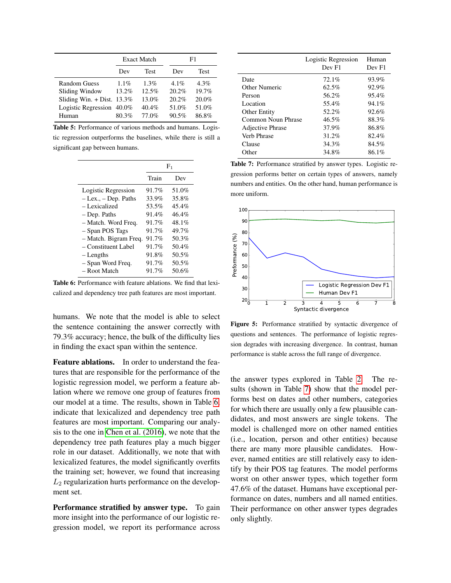<span id="page-7-0"></span>

|                              | <b>Exact Match</b> |             | F1      |         |
|------------------------------|--------------------|-------------|---------|---------|
|                              | Dev                | <b>Test</b> | Dev     | Test    |
| <b>Random Guess</b>          | $1.1\%$            | $1.3\%$     | $4.1\%$ | $4.3\%$ |
| Sliding Window               | 13.2%              | 12.5%       | 20.2%   | 19.7%   |
| Sliding Win. $+$ Dist. 13.3% |                    | 13.0%       | 20.2%   | 20.0%   |
| Logistic Regression 40.0%    |                    | $40.4\%$    | 51.0%   | 51.0%   |
| Human                        | 80.3%              | 77.0%       | 90.5%   | 86.8%   |

Table 5: Performance of various methods and humans. Logistic regression outperforms the baselines, while there is still a significant gap between humans.

<span id="page-7-1"></span>

|          | $F_1$ |  |
|----------|-------|--|
| Train    | Dev   |  |
| 91.7%    | 51.0% |  |
| 33.9%    | 35.8% |  |
| 53.5%    | 45.4% |  |
| 91.4%    | 46.4% |  |
| $91.7\%$ | 48.1% |  |
| 91.7%    | 49.7% |  |
| 91.7%    | 50.3% |  |
| 91.7%    | 50.4% |  |
| 91.8%    | 50.5% |  |
| 91.7%    | 50.5% |  |
| 91.7%    | 50.6% |  |
|          |       |  |

Table 6: Performance with feature ablations. We find that lexicalized and dependency tree path features are most important.

humans. We note that the model is able to select the sentence containing the answer correctly with 79.3% accuracy; hence, the bulk of the difficulty lies in finding the exact span within the sentence.

Feature ablations. In order to understand the features that are responsible for the performance of the logistic regression model, we perform a feature ablation where we remove one group of features from our model at a time. The results, shown in Table [6,](#page-7-1) indicate that lexicalized and dependency tree path features are most important. Comparing our analysis to the one in [Chen et al. \(2016\)](#page-0-1), we note that the dependency tree path features play a much bigger role in our dataset. Additionally, we note that with lexicalized features, the model significantly overfits the training set; however, we found that increasing  $L_2$  regularization hurts performance on the development set.

Performance stratified by answer type. To gain more insight into the performance of our logistic regression model, we report its performance across

<span id="page-7-2"></span>

|                     | Logistic Regression<br>Dev F1 | Human<br>Dev F1 |
|---------------------|-------------------------------|-----------------|
| Date                | 72.1%                         | 93.9%           |
| Other Numeric       | 62.5%                         | 92.9%           |
| Person              | 56.2%                         | 95.4%           |
| Location            | 55.4%                         | 94.1%           |
| <b>Other Entity</b> | 52.2%                         | 92.6%           |
| Common Noun Phrase  | 46.5%                         | 88.3%           |
| Adjective Phrase    | 37.9%                         | 86.8%           |
| Verb Phrase         | 31.2%                         | 82.4%           |
| Clause              | 34.3%                         | 84.5%           |
| Other               | 34.8%                         | 86.1%           |

Table 7: Performance stratified by answer types. Logistic regression performs better on certain types of answers, namely numbers and entities. On the other hand, human performance is more uniform.

<span id="page-7-3"></span>

Figure 5: Performance stratified by syntactic divergence of questions and sentences. The performance of logistic regression degrades with increasing divergence. In contrast, human performance is stable across the full range of divergence.

the answer types explored in Table [2.](#page-3-0) The results (shown in Table [7\)](#page-7-2) show that the model performs best on dates and other numbers, categories for which there are usually only a few plausible candidates, and most answers are single tokens. The model is challenged more on other named entities (i.e., location, person and other entities) because there are many more plausible candidates. However, named entities are still relatively easy to identify by their POS tag features. The model performs worst on other answer types, which together form 47.6% of the dataset. Humans have exceptional performance on dates, numbers and all named entities. Their performance on other answer types degrades only slightly.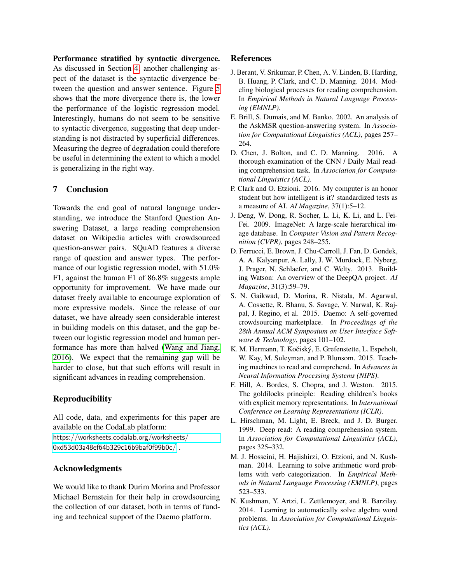<span id="page-8-0"></span>Performance stratified by syntactic divergence. As discussed in Section [4,](#page-3-1) another challenging aspect of the dataset is the syntactic divergence between the question and answer sentence. Figure [5](#page-7-3) shows that the more divergence there is, the lower the performance of the logistic regression model. Interestingly, humans do not seem to be sensitive to syntactic divergence, suggesting that deep understanding is not distracted by superficial differences. Measuring the degree of degradation could therefore be useful in determining the extent to which a model is generalizing in the right way.

# 7 Conclusion

Towards the end goal of natural language understanding, we introduce the Stanford Question Answering Dataset, a large reading comprehension dataset on Wikipedia articles with crowdsourced question-answer pairs. SQuAD features a diverse range of question and answer types. The performance of our logistic regression model, with 51.0% F1, against the human F1 of 86.8% suggests ample opportunity for improvement. We have made our dataset freely available to encourage exploration of more expressive models. Since the release of our dataset, we have already seen considerable interest in building models on this dataset, and the gap between our logistic regression model and human performance has more than halved [\(Wang and Jiang,](#page-0-1) [2016\)](#page-0-1). We expect that the remaining gap will be harder to close, but that such efforts will result in significant advances in reading comprehension.

## Reproducibility

All code, data, and experiments for this paper are available on the CodaLab platform:

[https://worksheets.codalab.org/worksheets/](https://worksheets.codalab.org/worksheets/0xd53d03a48ef64b329c16b9baf0f99b0c/) [0xd53d03a48ef64b329c16b9baf0f99b0c/](https://worksheets.codalab.org/worksheets/0xd53d03a48ef64b329c16b9baf0f99b0c/) .

## Acknowledgments

We would like to thank Durim Morina and Professor Michael Bernstein for their help in crowdsourcing the collection of our dataset, both in terms of funding and technical support of the Daemo platform.

#### References

- J. Berant, V. Srikumar, P. Chen, A. V. Linden, B. Harding, B. Huang, P. Clark, and C. D. Manning. 2014. Modeling biological processes for reading comprehension. In *Empirical Methods in Natural Language Processing (EMNLP)*.
- E. Brill, S. Dumais, and M. Banko. 2002. An analysis of the AskMSR question-answering system. In *Association for Computational Linguistics (ACL)*, pages 257– 264.
- D. Chen, J. Bolton, and C. D. Manning. 2016. A thorough examination of the CNN / Daily Mail reading comprehension task. In *Association for Computational Linguistics (ACL)*.
- P. Clark and O. Etzioni. 2016. My computer is an honor student but how intelligent is it? standardized tests as a measure of AI. *AI Magazine*, 37(1):5–12.
- J. Deng, W. Dong, R. Socher, L. Li, K. Li, and L. Fei-Fei. 2009. ImageNet: A large-scale hierarchical image database. In *Computer Vision and Pattern Recognition (CVPR)*, pages 248–255.
- D. Ferrucci, E. Brown, J. Chu-Carroll, J. Fan, D. Gondek, A. A. Kalyanpur, A. Lally, J. W. Murdock, E. Nyberg, J. Prager, N. Schlaefer, and C. Welty. 2013. Building Watson: An overview of the DeepQA project. *AI Magazine*, 31(3):59–79.
- S. N. Gaikwad, D. Morina, R. Nistala, M. Agarwal, A. Cossette, R. Bhanu, S. Savage, V. Narwal, K. Rajpal, J. Regino, et al. 2015. Daemo: A self-governed crowdsourcing marketplace. In *Proceedings of the 28th Annual ACM Symposium on User Interface Software & Technology*, pages 101–102.
- K. M. Hermann, T. Kočiský, E. Grefenstette, L. Espeholt, W. Kay, M. Suleyman, and P. Blunsom. 2015. Teaching machines to read and comprehend. In *Advances in Neural Information Processing Systems (NIPS)*.
- F. Hill, A. Bordes, S. Chopra, and J. Weston. 2015. The goldilocks principle: Reading children's books with explicit memory representations. In *International Conference on Learning Representations (ICLR)*.
- L. Hirschman, M. Light, E. Breck, and J. D. Burger. 1999. Deep read: A reading comprehension system. In *Association for Computational Linguistics (ACL)*, pages 325–332.
- M. J. Hosseini, H. Hajishirzi, O. Etzioni, and N. Kushman. 2014. Learning to solve arithmetic word problems with verb categorization. In *Empirical Methods in Natural Language Processing (EMNLP)*, pages 523–533.
- N. Kushman, Y. Artzi, L. Zettlemoyer, and R. Barzilay. 2014. Learning to automatically solve algebra word problems. In *Association for Computational Linguistics (ACL)*.